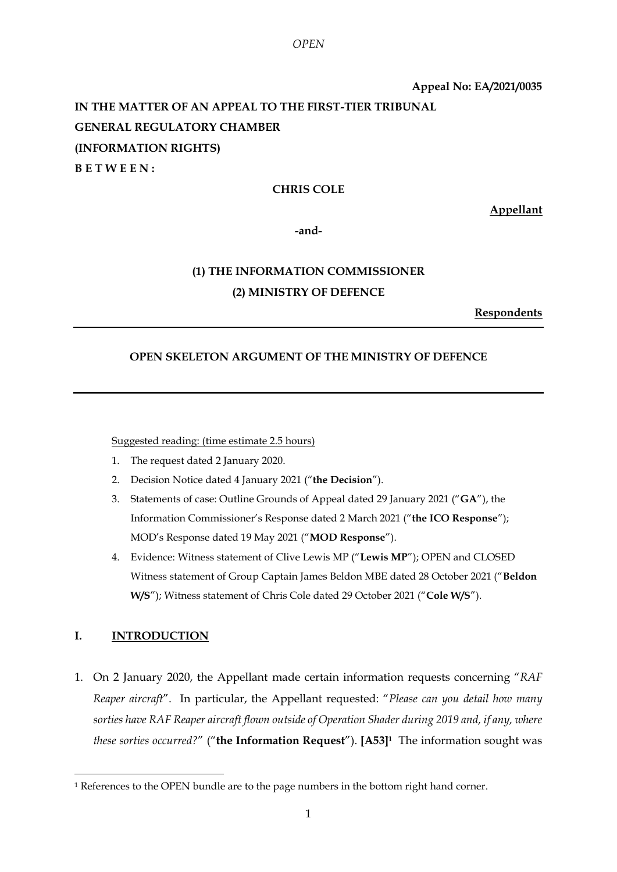**Appeal No: EA/2021/0035**

# **IN THE MATTER OF AN APPEAL TO THE FIRST-TIER TRIBUNAL GENERAL REGULATORY CHAMBER (INFORMATION RIGHTS) B E T W E E N :**

# **CHRIS COLE**

**Appellant**

**-and-**

# **(1) THE INFORMATION COMMISSIONER (2) MINISTRY OF DEFENCE**

**Respondents**

# **OPEN SKELETON ARGUMENT OF THE MINISTRY OF DEFENCE**

Suggested reading: (time estimate 2.5 hours)

- 1. The request dated 2 January 2020.
- 2. Decision Notice dated 4 January 2021 ("**the Decision**").
- 3. Statements of case: Outline Grounds of Appeal dated 29 January 2021 ("**GA**"), the Information Commissioner's Response dated 2 March 2021 ("**the ICO Response**"); MOD's Response dated 19 May 2021 ("**MOD Response**").
- 4. Evidence: Witness statement of Clive Lewis MP ("**Lewis MP**"); OPEN and CLOSED Witness statement of Group Captain James Beldon MBE dated 28 October 2021 ("**Beldon W/S**"); Witness statement of Chris Cole dated 29 October 2021 ("**Cole W/S**").

# **I. INTRODUCTION**

<u>.</u>

<span id="page-0-0"></span>1. On 2 January 2020, the Appellant made certain information requests concerning "*RAF Reaper aircraft*". In particular, the Appellant requested: "*Please can you detail how many sorties have RAF Reaper aircraft flown outside of Operation Shader during 2019 and, if any, where these sorties occurred?*" ("**the Information Request**"). **[A53]<sup>1</sup>** The information sought was

<sup>&</sup>lt;sup>1</sup> References to the OPEN bundle are to the page numbers in the bottom right hand corner.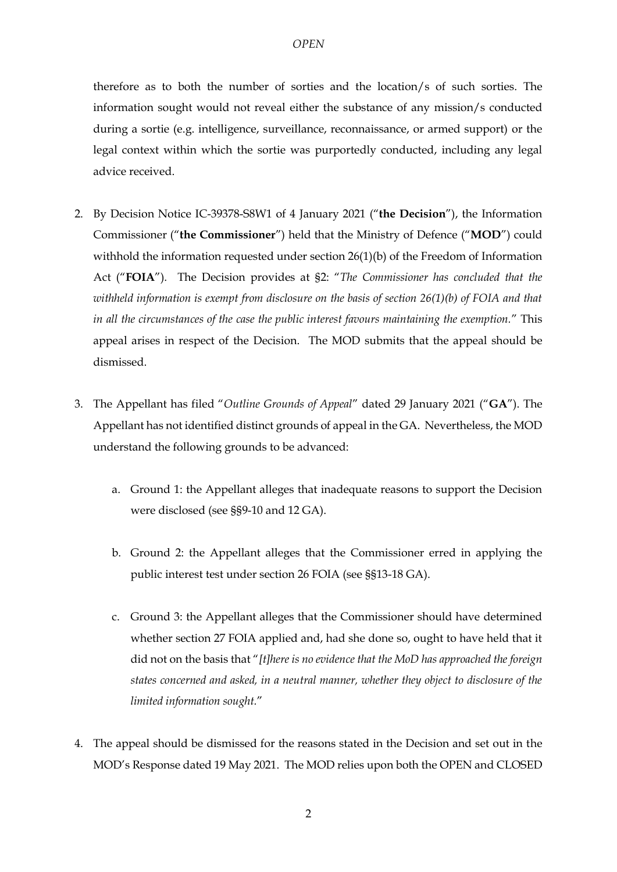therefore as to both the number of sorties and the location/s of such sorties. The information sought would not reveal either the substance of any mission/s conducted during a sortie (e.g. intelligence, surveillance, reconnaissance, or armed support) or the legal context within which the sortie was purportedly conducted, including any legal advice received.

- 2. By Decision Notice IC-39378-S8W1 of 4 January 2021 ("**the Decision**"), the Information Commissioner ("**the Commissioner**") held that the Ministry of Defence ("**MOD**") could withhold the information requested under section 26(1)(b) of the Freedom of Information Act ("**FOIA**"). The Decision provides at §2: "*The Commissioner has concluded that the withheld information is exempt from disclosure on the basis of section 26(1)(b) of FOIA and that in all the circumstances of the case the public interest favours maintaining the exemption.*" This appeal arises in respect of the Decision. The MOD submits that the appeal should be dismissed.
- 3. The Appellant has filed "*Outline Grounds of Appeal*" dated 29 January 2021 ("**GA**"). The Appellant has not identified distinct grounds of appeal in the GA. Nevertheless, the MOD understand the following grounds to be advanced:
	- a. Ground 1: the Appellant alleges that inadequate reasons to support the Decision were disclosed (see §§9-10 and 12 GA).
	- b. Ground 2: the Appellant alleges that the Commissioner erred in applying the public interest test under section 26 FOIA (see §§13-18 GA).
	- c. Ground 3: the Appellant alleges that the Commissioner should have determined whether section 27 FOIA applied and, had she done so, ought to have held that it did not on the basis that "*[t]here is no evidence that the MoD has approached the foreign states concerned and asked, in a neutral manner, whether they object to disclosure of the limited information sought.*"
- 4. The appeal should be dismissed for the reasons stated in the Decision and set out in the MOD's Response dated 19 May 2021. The MOD relies upon both the OPEN and CLOSED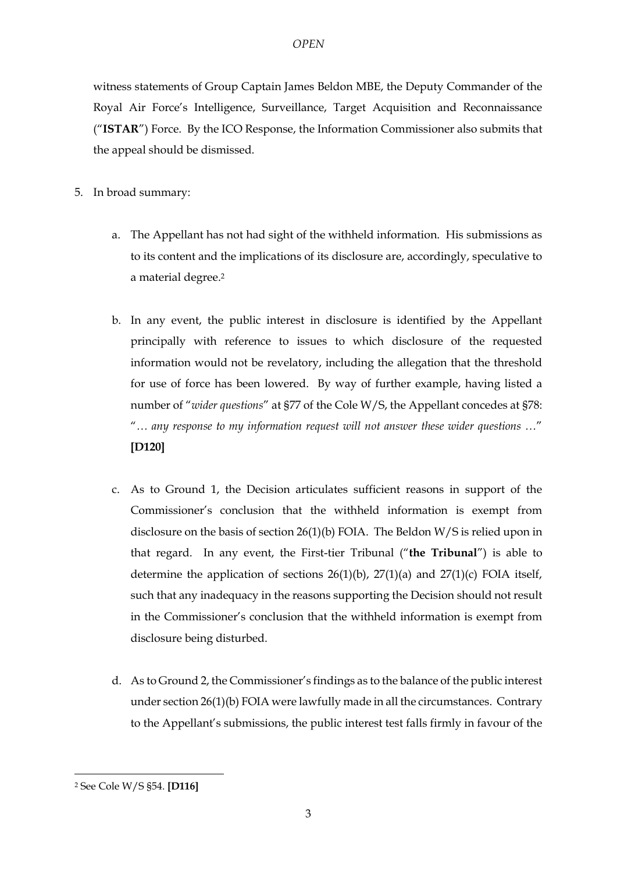witness statements of Group Captain James Beldon MBE, the Deputy Commander of the Royal Air Force's Intelligence, Surveillance, Target Acquisition and Reconnaissance ("**ISTAR**") Force. By the ICO Response, the Information Commissioner also submits that the appeal should be dismissed.

- 5. In broad summary:
	- a. The Appellant has not had sight of the withheld information. His submissions as to its content and the implications of its disclosure are, accordingly, speculative to a material degree.<sup>2</sup>
	- b. In any event, the public interest in disclosure is identified by the Appellant principally with reference to issues to which disclosure of the requested information would not be revelatory, including the allegation that the threshold for use of force has been lowered. By way of further example, having listed a number of "*wider questions*" at §77 of the Cole W/S, the Appellant concedes at §78: "*… any response to my information request will not answer these wider questions …*" **[D120]**
	- c. As to Ground 1, the Decision articulates sufficient reasons in support of the Commissioner's conclusion that the withheld information is exempt from disclosure on the basis of section 26(1)(b) FOIA. The Beldon W/S is relied upon in that regard. In any event, the First-tier Tribunal ("**the Tribunal**") is able to determine the application of sections  $26(1)(b)$ ,  $27(1)(a)$  and  $27(1)(c)$  FOIA itself, such that any inadequacy in the reasons supporting the Decision should not result in the Commissioner's conclusion that the withheld information is exempt from disclosure being disturbed.
	- d. As to Ground 2, the Commissioner's findings as to the balance of the public interest under section 26(1)(b) FOIA were lawfully made in all the circumstances. Contrary to the Appellant's submissions, the public interest test falls firmly in favour of the

<u>.</u>

<sup>2</sup> See Cole W/S §54. **[D116]**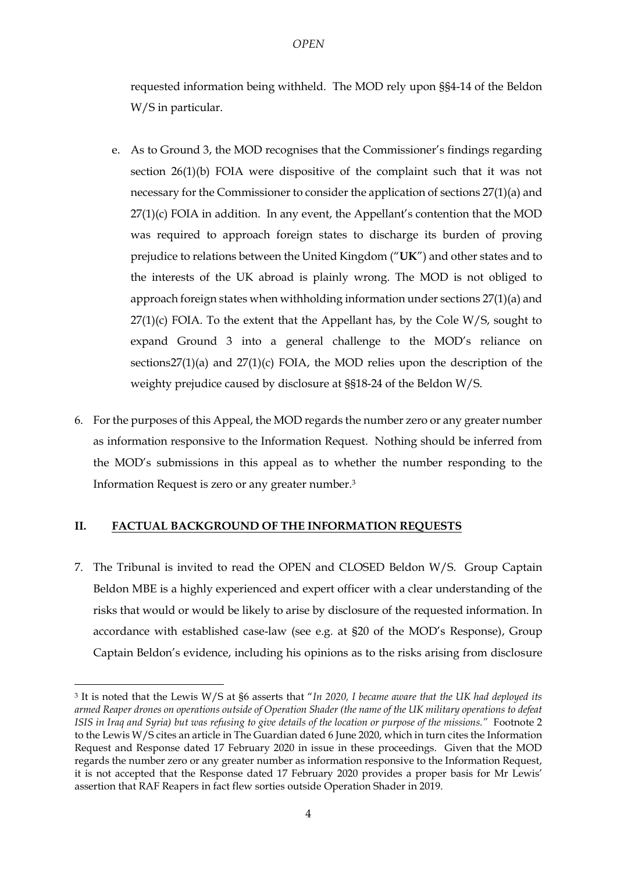requested information being withheld. The MOD rely upon §§4-14 of the Beldon W/S in particular.

- e. As to Ground 3, the MOD recognises that the Commissioner's findings regarding section 26(1)(b) FOIA were dispositive of the complaint such that it was not necessary for the Commissioner to consider the application of sections 27(1)(a) and 27(1)(c) FOIA in addition. In any event, the Appellant's contention that the MOD was required to approach foreign states to discharge its burden of proving prejudice to relations between the United Kingdom ("**UK**") and other states and to the interests of the UK abroad is plainly wrong. The MOD is not obliged to approach foreign states when withholding information under sections 27(1)(a) and  $27(1)(c)$  FOIA. To the extent that the Appellant has, by the Cole W/S, sought to expand Ground 3 into a general challenge to the MOD's reliance on sections27(1)(a) and  $27(1)(c)$  FOIA, the MOD relies upon the description of the weighty prejudice caused by disclosure at §§18-24 of the Beldon W/S.
- 6. For the purposes of this Appeal, the MOD regards the number zero or any greater number as information responsive to the Information Request. Nothing should be inferred from the MOD's submissions in this appeal as to whether the number responding to the Information Request is zero or any greater number.<sup>3</sup>

### **II. FACTUAL BACKGROUND OF THE INFORMATION REQUESTS**

<u>.</u>

7. The Tribunal is invited to read the OPEN and CLOSED Beldon W/S. Group Captain Beldon MBE is a highly experienced and expert officer with a clear understanding of the risks that would or would be likely to arise by disclosure of the requested information. In accordance with established case-law (see e.g. at §20 of the MOD's Response), Group Captain Beldon's evidence, including his opinions as to the risks arising from disclosure

<sup>3</sup> It is noted that the Lewis W/S at §6 asserts that "*In 2020, I became aware that the UK had deployed its armed Reaper drones on operations outside of Operation Shader (the name of the UK military operations to defeat ISIS in Iraq and Syria) but was refusing to give details of the location or purpose of the missions."* Footnote 2 to the Lewis W/S cites an article in The Guardian dated 6 June 2020, which in turn cites the Information Request and Response dated 17 February 2020 in issue in these proceedings. Given that the MOD regards the number zero or any greater number as information responsive to the Information Request, it is not accepted that the Response dated 17 February 2020 provides a proper basis for Mr Lewis' assertion that RAF Reapers in fact flew sorties outside Operation Shader in 2019.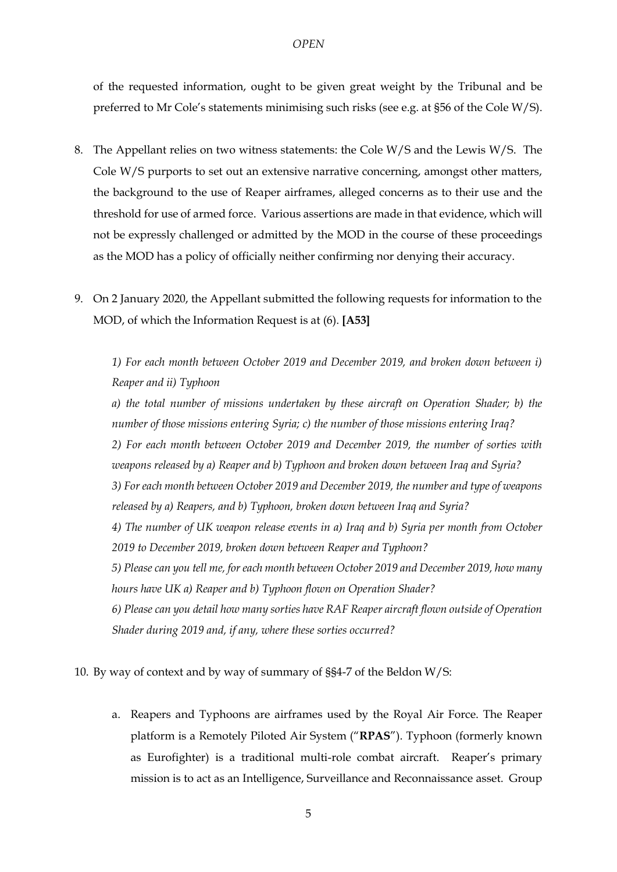of the requested information, ought to be given great weight by the Tribunal and be preferred to Mr Cole's statements minimising such risks (see e.g. at §56 of the Cole W/S).

- 8. The Appellant relies on two witness statements: the Cole W/S and the Lewis W/S. The Cole W/S purports to set out an extensive narrative concerning, amongst other matters, the background to the use of Reaper airframes, alleged concerns as to their use and the threshold for use of armed force. Various assertions are made in that evidence, which will not be expressly challenged or admitted by the MOD in the course of these proceedings as the MOD has a policy of officially neither confirming nor denying their accuracy.
- 9. On 2 January 2020, the Appellant submitted the following requests for information to the MOD, of which the Information Request is at (6). **[A53]**

*1) For each month between October 2019 and December 2019, and broken down between i) Reaper and ii) Typhoon*

*a) the total number of missions undertaken by these aircraft on Operation Shader; b) the number of those missions entering Syria; c) the number of those missions entering Iraq? 2) For each month between October 2019 and December 2019, the number of sorties with weapons released by a) Reaper and b) Typhoon and broken down between Iraq and Syria? 3) For each month between October 2019 and December 2019, the number and type of weapons released by a) Reapers, and b) Typhoon, broken down between Iraq and Syria? 4) The number of UK weapon release events in a) Iraq and b) Syria per month from October 2019 to December 2019, broken down between Reaper and Typhoon? 5) Please can you tell me, for each month between October 2019 and December 2019, how many hours have UK a) Reaper and b) Typhoon flown on Operation Shader? 6) Please can you detail how many sorties have RAF Reaper aircraft flown outside of Operation Shader during 2019 and, if any, where these sorties occurred?*

10. By way of context and by way of summary of §§4-7 of the Beldon W/S:

a. Reapers and Typhoons are airframes used by the Royal Air Force. The Reaper platform is a Remotely Piloted Air System ("**RPAS**"). Typhoon (formerly known as Eurofighter) is a traditional multi-role combat aircraft. Reaper's primary mission is to act as an Intelligence, Surveillance and Reconnaissance asset. Group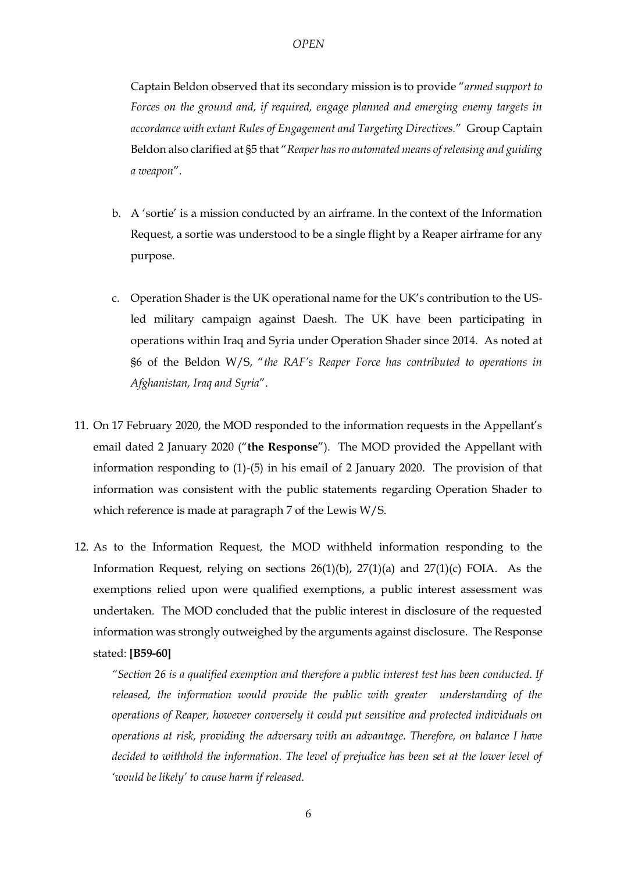Captain Beldon observed that its secondary mission is to provide "*armed support to Forces on the ground and, if required, engage planned and emerging enemy targets in accordance with extant Rules of Engagement and Targeting Directives.*" Group Captain Beldon also clarified at §5 that "*Reaper has no automated means of releasing and guiding a weapon*".

- b. A 'sortie' is a mission conducted by an airframe. In the context of the Information Request, a sortie was understood to be a single flight by a Reaper airframe for any purpose.
- c. Operation Shader is the UK operational name for the UK's contribution to the USled military campaign against Daesh. The UK have been participating in operations within Iraq and Syria under Operation Shader since 2014. As noted at §6 of the Beldon W/S, "*the RAF's Reaper Force has contributed to operations in Afghanistan, Iraq and Syria*".
- 11. On 17 February 2020, the MOD responded to the information requests in the Appellant's email dated 2 January 2020 ("**the Response**"). The MOD provided the Appellant with information responding to (1)-(5) in his email of 2 January 2020. The provision of that information was consistent with the public statements regarding Operation Shader to which reference is made at paragraph 7 of the Lewis W/S.
- 12. As to the Information Request, the MOD withheld information responding to the Information Request, relying on sections  $26(1)(b)$ ,  $27(1)(a)$  and  $27(1)(c)$  FOIA. As the exemptions relied upon were qualified exemptions, a public interest assessment was undertaken. The MOD concluded that the public interest in disclosure of the requested information was strongly outweighed by the arguments against disclosure. The Response stated: **[B59-60]**

*"Section 26 is a qualified exemption and therefore a public interest test has been conducted. If released, the information would provide the public with greater understanding of the operations of Reaper, however conversely it could put sensitive and protected individuals on operations at risk, providing the adversary with an advantage. Therefore, on balance I have decided to withhold the information. The level of prejudice has been set at the lower level of 'would be likely' to cause harm if released.*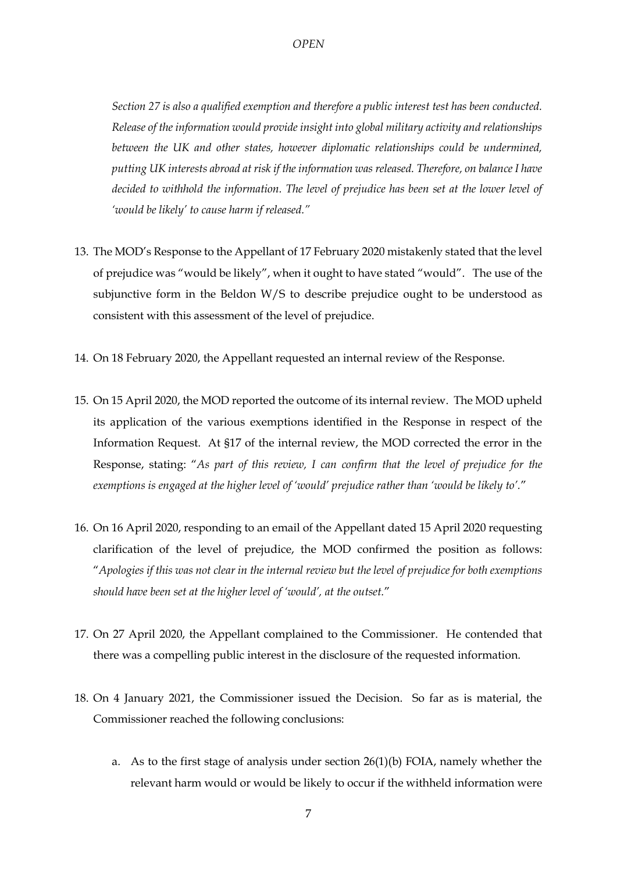*Section 27 is also a qualified exemption and therefore a public interest test has been conducted. Release of the information would provide insight into global military activity and relationships between the UK and other states, however diplomatic relationships could be undermined, putting UK interests abroad at risk if the information was released. Therefore, on balance I have decided to withhold the information. The level of prejudice has been set at the lower level of 'would be likely' to cause harm if released."*

- 13. The MOD's Response to the Appellant of 17 February 2020 mistakenly stated that the level of prejudice was "would be likely", when it ought to have stated "would". The use of the subjunctive form in the Beldon W/S to describe prejudice ought to be understood as consistent with this assessment of the level of prejudice.
- 14. On 18 February 2020, the Appellant requested an internal review of the Response.
- 15. On 15 April 2020, the MOD reported the outcome of its internal review. The MOD upheld its application of the various exemptions identified in the Response in respect of the Information Request. At §17 of the internal review, the MOD corrected the error in the Response, stating: "*As part of this review, I can confirm that the level of prejudice for the exemptions is engaged at the higher level of 'would' prejudice rather than 'would be likely to'.*"
- 16. On 16 April 2020, responding to an email of the Appellant dated 15 April 2020 requesting clarification of the level of prejudice, the MOD confirmed the position as follows: "*Apologies if this was not clear in the internal review but the level of prejudice for both exemptions should have been set at the higher level of 'would', at the outset.*"
- 17. On 27 April 2020, the Appellant complained to the Commissioner. He contended that there was a compelling public interest in the disclosure of the requested information.
- 18. On 4 January 2021, the Commissioner issued the Decision. So far as is material, the Commissioner reached the following conclusions:
	- a. As to the first stage of analysis under section 26(1)(b) FOIA, namely whether the relevant harm would or would be likely to occur if the withheld information were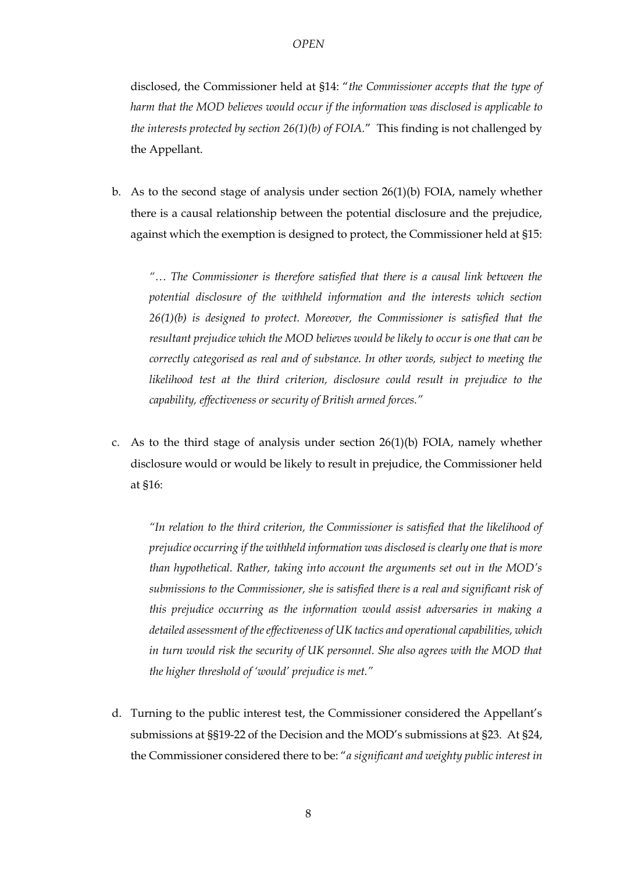disclosed, the Commissioner held at §14: "*the Commissioner accepts that the type of harm that the MOD believes would occur if the information was disclosed is applicable to the interests protected by section 26(1)(b) of FOIA.*" This finding is not challenged by the Appellant.

b. As to the second stage of analysis under section  $26(1)(b)$  FOIA, namely whether there is a causal relationship between the potential disclosure and the prejudice, against which the exemption is designed to protect, the Commissioner held at §15:

*"… The Commissioner is therefore satisfied that there is a causal link between the potential disclosure of the withheld information and the interests which section 26(1)(b) is designed to protect. Moreover, the Commissioner is satisfied that the resultant prejudice which the MOD believes would be likely to occur is one that can be correctly categorised as real and of substance. In other words, subject to meeting the likelihood test at the third criterion, disclosure could result in prejudice to the capability, effectiveness or security of British armed forces."*

c. As to the third stage of analysis under section  $26(1)(b)$  FOIA, namely whether disclosure would or would be likely to result in prejudice, the Commissioner held at §16:

*"In relation to the third criterion, the Commissioner is satisfied that the likelihood of prejudice occurring if the withheld information was disclosed is clearly one that is more than hypothetical. Rather, taking into account the arguments set out in the MOD's submissions to the Commissioner, she is satisfied there is a real and significant risk of this prejudice occurring as the information would assist adversaries in making a detailed assessment of the effectiveness of UK tactics and operational capabilities, which*  in turn would risk the security of UK personnel. She also agrees with the MOD that *the higher threshold of 'would' prejudice is met."*

d. Turning to the public interest test, the Commissioner considered the Appellant's submissions at §§19-22 of the Decision and the MOD's submissions at §23. At §24, the Commissioner considered there to be: "*a significant and weighty public interest in*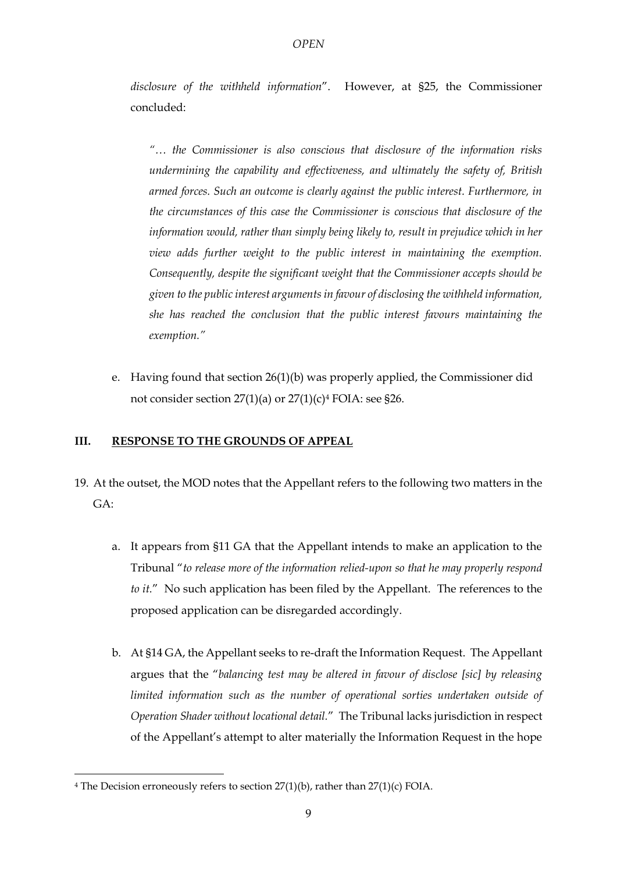*disclosure of the withheld information*". However, at §25, the Commissioner concluded:

*"… the Commissioner is also conscious that disclosure of the information risks undermining the capability and effectiveness, and ultimately the safety of, British armed forces. Such an outcome is clearly against the public interest. Furthermore, in the circumstances of this case the Commissioner is conscious that disclosure of the information would, rather than simply being likely to, result in prejudice which in her view adds further weight to the public interest in maintaining the exemption. Consequently, despite the significant weight that the Commissioner accepts should be given to the public interest arguments in favour of disclosing the withheld information, she has reached the conclusion that the public interest favours maintaining the exemption."*

e. Having found that section 26(1)(b) was properly applied, the Commissioner did not consider section  $27(1)(a)$  or  $27(1)(c)<sup>4</sup>$  FOIA: see §26.

### **III. RESPONSE TO THE GROUNDS OF APPEAL**

- 19. At the outset, the MOD notes that the Appellant refers to the following two matters in the GA:
	- a. It appears from §11 GA that the Appellant intends to make an application to the Tribunal "*to release more of the information relied-upon so that he may properly respond to it.*" No such application has been filed by the Appellant. The references to the proposed application can be disregarded accordingly.
	- b. At §14 GA, the Appellant seeks to re-draft the Information Request. The Appellant argues that the "*balancing test may be altered in favour of disclose [sic] by releasing limited information such as the number of operational sorties undertaken outside of Operation Shader without locational detail.*" The Tribunal lacks jurisdiction in respect of the Appellant's attempt to alter materially the Information Request in the hope

<u>.</u>

 $4$  The Decision erroneously refers to section 27(1)(b), rather than 27(1)(c) FOIA.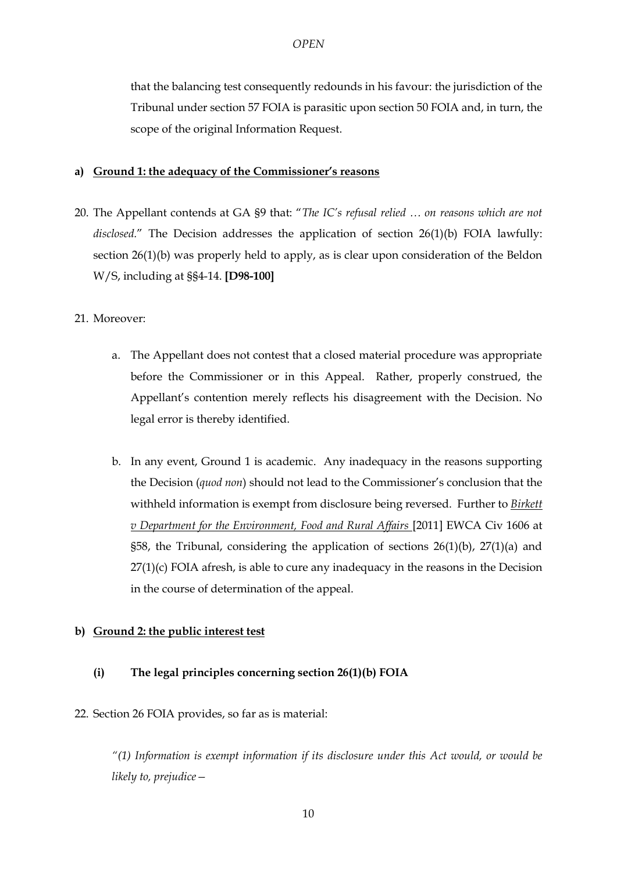that the balancing test consequently redounds in his favour: the jurisdiction of the Tribunal under section 57 FOIA is parasitic upon section 50 FOIA and, in turn, the scope of the original Information Request.

### **a) Ground 1: the adequacy of the Commissioner's reasons**

20. The Appellant contends at GA §9 that: "*The IC's refusal relied … on reasons which are not*  disclosed." The Decision addresses the application of section 26(1)(b) FOIA lawfully: section 26(1)(b) was properly held to apply, as is clear upon consideration of the Beldon W/S, including at §§4-14. **[D98-100]**

# 21. Moreover:

- a. The Appellant does not contest that a closed material procedure was appropriate before the Commissioner or in this Appeal. Rather, properly construed, the Appellant's contention merely reflects his disagreement with the Decision. No legal error is thereby identified.
- b. In any event, Ground 1 is academic. Any inadequacy in the reasons supporting the Decision (*quod non*) should not lead to the Commissioner's conclusion that the withheld information is exempt from disclosure being reversed. Further to *Birkett v Department for the Environment, Food and Rural Affairs* [2011] EWCA Civ 1606 at §58, the Tribunal, considering the application of sections  $26(1)(b)$ ,  $27(1)(a)$  and 27(1)(c) FOIA afresh, is able to cure any inadequacy in the reasons in the Decision in the course of determination of the appeal.

# **b) Ground 2: the public interest test**

# **(i) The legal principles concerning section 26(1)(b) FOIA**

### 22. Section 26 FOIA provides, so far as is material:

*"(1) Information is exempt information if its disclosure under this Act would, or would be likely to, prejudice—*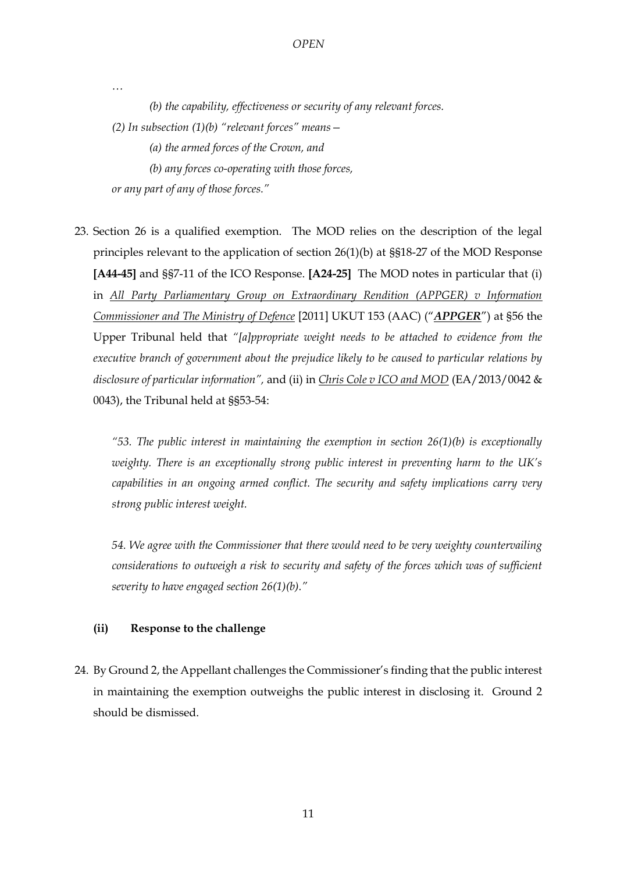*(b) the capability, effectiveness or security of any relevant forces. (2) In subsection (1)(b) "relevant forces" means— (a) the armed forces of the Crown, and (b) any forces co-operating with those forces, or any part of any of those forces."*

*…*

23. Section 26 is a qualified exemption. The MOD relies on the description of the legal principles relevant to the application of section 26(1)(b) at §§18-27 of the MOD Response **[A44-45]** and §§7-11 of the ICO Response. **[A24-25]** The MOD notes in particular that (i) in *All Party Parliamentary Group on Extraordinary Rendition (APPGER) v Information Commissioner and The Ministry of Defence* [2011] UKUT 153 (AAC) ("*APPGER*") at §56 the Upper Tribunal held that *"[a]ppropriate weight needs to be attached to evidence from the executive branch of government about the prejudice likely to be caused to particular relations by disclosure of particular information",* and (ii) in *Chris Cole v ICO and MOD* (EA/2013/0042 & 0043), the Tribunal held at §§53-54:

*"53. The public interest in maintaining the exemption in section 26(1)(b) is exceptionally weighty. There is an exceptionally strong public interest in preventing harm to the UK's capabilities in an ongoing armed conflict. The security and safety implications carry very strong public interest weight.*

*54. We agree with the Commissioner that there would need to be very weighty countervailing considerations to outweigh a risk to security and safety of the forces which was of sufficient severity to have engaged section 26(1)(b)."*

#### **(ii) Response to the challenge**

24. By Ground 2, the Appellant challenges the Commissioner's finding that the public interest in maintaining the exemption outweighs the public interest in disclosing it. Ground 2 should be dismissed.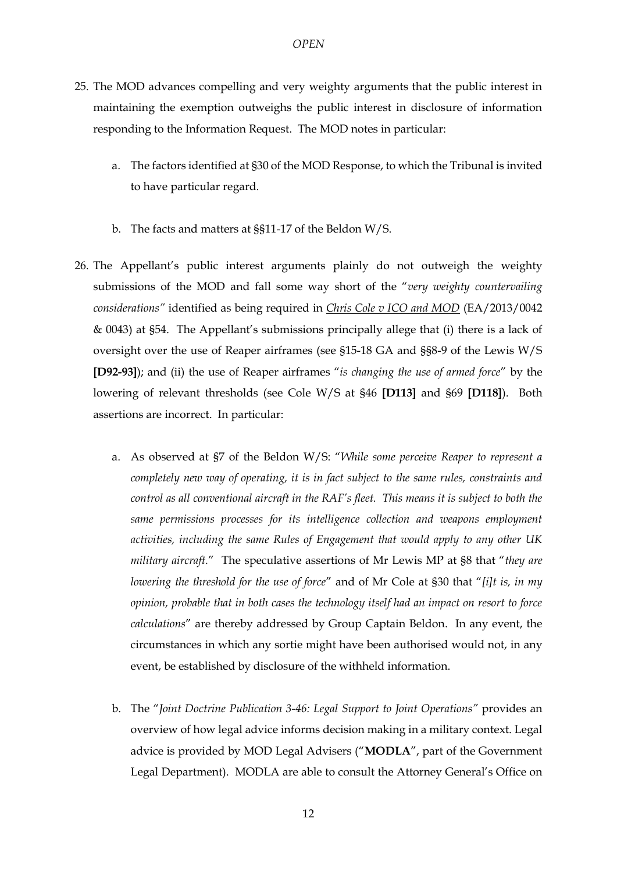- 25. The MOD advances compelling and very weighty arguments that the public interest in maintaining the exemption outweighs the public interest in disclosure of information responding to the Information Request. The MOD notes in particular:
	- a. The factors identified at §30 of the MOD Response, to which the Tribunal is invited to have particular regard.
	- b. The facts and matters at §§11-17 of the Beldon W/S.
- 26. The Appellant's public interest arguments plainly do not outweigh the weighty submissions of the MOD and fall some way short of the "*very weighty countervailing considerations"* identified as being required in *Chris Cole v ICO and MOD* (EA/2013/0042 & 0043) at §54. The Appellant's submissions principally allege that (i) there is a lack of oversight over the use of Reaper airframes (see §15-18 GA and §§8-9 of the Lewis W/S **[D92-93]**); and (ii) the use of Reaper airframes "*is changing the use of armed force*" by the lowering of relevant thresholds (see Cole W/S at §46 **[D113]** and §69 **[D118]**). Both assertions are incorrect. In particular:
	- a. As observed at §7 of the Beldon W/S: "*While some perceive Reaper to represent a completely new way of operating, it is in fact subject to the same rules, constraints and control as all conventional aircraft in the RAF's fleet. This means it is subject to both the same permissions processes for its intelligence collection and weapons employment activities, including the same Rules of Engagement that would apply to any other UK military aircraft.*" The speculative assertions of Mr Lewis MP at §8 that "*they are lowering the threshold for the use of force*" and of Mr Cole at §30 that "*[i]t is, in my opinion, probable that in both cases the technology itself had an impact on resort to force calculations*" are thereby addressed by Group Captain Beldon. In any event, the circumstances in which any sortie might have been authorised would not, in any event, be established by disclosure of the withheld information.
	- b. The "*Joint Doctrine Publication 3-46: Legal Support to Joint Operations"* provides an overview of how legal advice informs decision making in a military context. Legal advice is provided by MOD Legal Advisers ("**MODLA**", part of the Government Legal Department). MODLA are able to consult the Attorney General's Office on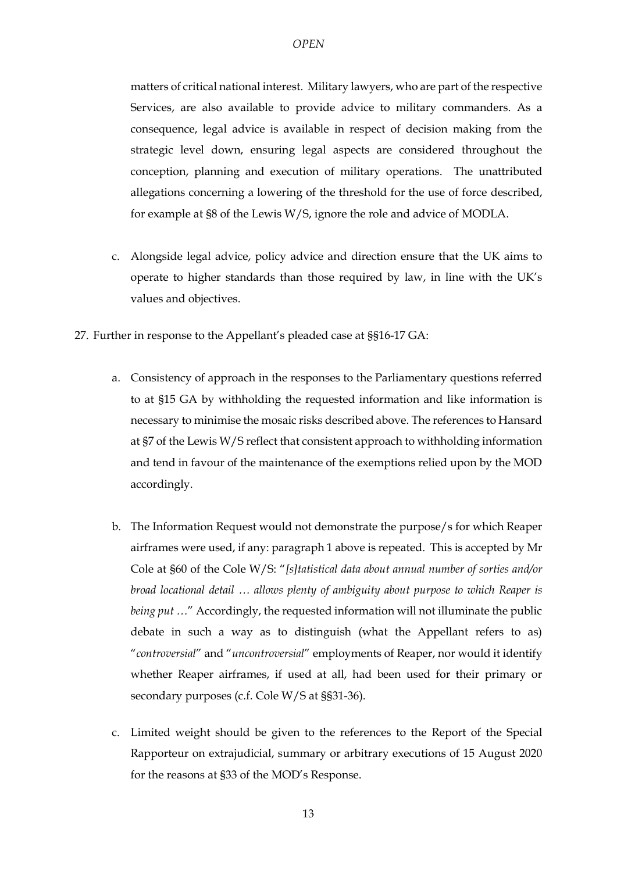matters of critical national interest. Military lawyers, who are part of the respective Services, are also available to provide advice to military commanders. As a consequence, legal advice is available in respect of decision making from the strategic level down, ensuring legal aspects are considered throughout the conception, planning and execution of military operations. The unattributed allegations concerning a lowering of the threshold for the use of force described, for example at §8 of the Lewis W/S, ignore the role and advice of MODLA.

- c. Alongside legal advice, policy advice and direction ensure that the UK aims to operate to higher standards than those required by law, in line with the UK's values and objectives.
- 27. Further in response to the Appellant's pleaded case at §§16-17 GA:
	- a. Consistency of approach in the responses to the Parliamentary questions referred to at §15 GA by withholding the requested information and like information is necessary to minimise the mosaic risks described above. The references to Hansard at §7 of the Lewis W/S reflect that consistent approach to withholding information and tend in favour of the maintenance of the exemptions relied upon by the MOD accordingly.
	- b. The Information Request would not demonstrate the purpose/s for which Reaper airframes were used, if any: paragrap[h 1](#page-0-0) above is repeated. This is accepted by Mr Cole at §60 of the Cole W/S: "*[s]tatistical data about annual number of sorties and/or broad locational detail … allows plenty of ambiguity about purpose to which Reaper is being put …*" Accordingly, the requested information will not illuminate the public debate in such a way as to distinguish (what the Appellant refers to as) "*controversial*" and "*uncontroversial*" employments of Reaper, nor would it identify whether Reaper airframes, if used at all, had been used for their primary or secondary purposes (c.f. Cole W/S at §§31-36).
	- c. Limited weight should be given to the references to the Report of the Special Rapporteur on extrajudicial, summary or arbitrary executions of 15 August 2020 for the reasons at §33 of the MOD's Response.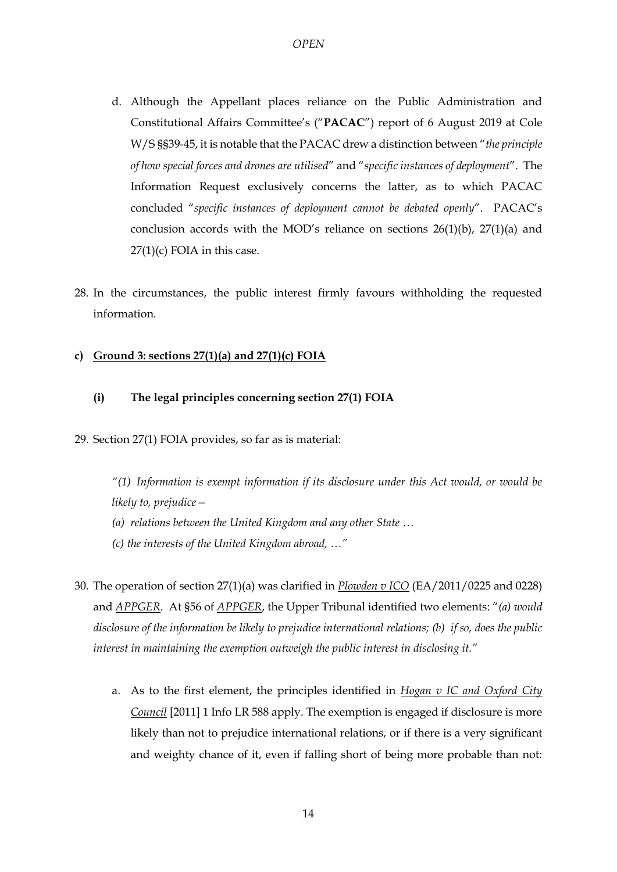- d. Although the Appellant places reliance on the Public Administration and Constitutional Affairs Committee's ("**PACAC**") report of 6 August 2019 at Cole W/S §§39-45, it is notable that the PACAC drew a distinction between "*the principle of how special forces and drones are utilised*" and "*specific instances of deployment*". The Information Request exclusively concerns the latter, as to which PACAC concluded "*specific instances of deployment cannot be debated openly*". PACAC's conclusion accords with the MOD's reliance on sections  $26(1)(b)$ ,  $27(1)(a)$  and  $27(1)(c)$  FOIA in this case.
- 28. In the circumstances, the public interest firmly favours withholding the requested information.

# **c) Ground 3: sections 27(1)(a) and 27(1)(c) FOIA**

### **(i) The legal principles concerning section 27(1) FOIA**

29. Section 27(1) FOIA provides, so far as is material:

*"(1) Information is exempt information if its disclosure under this Act would, or would be likely to, prejudice—*

- *(a) relations between the United Kingdom and any other State …*
- *(c) the interests of the United Kingdom abroad, …"*
- 30. The operation of section 27(1)(a) was clarified in *Plowden v ICO* (EA/2011/0225 and 0228) and *APPGER*. At §56 of *APPGER*, the Upper Tribunal identified two elements: "*(a) would disclosure of the information be likely to prejudice international relations; (b) if so, does the public interest in maintaining the exemption outweigh the public interest in disclosing it."*
	- a. As to the first element, the principles identified in *Hogan v IC and Oxford City Council* [2011] 1 Info LR 588 apply. The exemption is engaged if disclosure is more likely than not to prejudice international relations, or if there is a very significant and weighty chance of it, even if falling short of being more probable than not: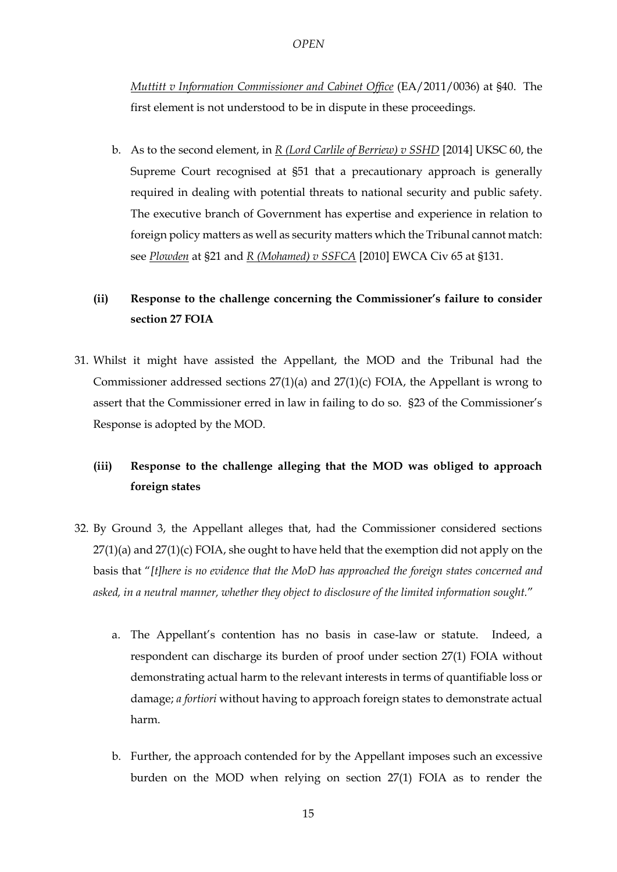*Muttitt v Information Commissioner and Cabinet Office* (EA/2011/0036) at §40. The first element is not understood to be in dispute in these proceedings.

b. As to the second element, in *R (Lord Carlile of Berriew) v SSHD* [2014] UKSC 60, the Supreme Court recognised at §51 that a precautionary approach is generally required in dealing with potential threats to national security and public safety. The executive branch of Government has expertise and experience in relation to foreign policy matters as well as security matters which the Tribunal cannot match: see *Plowden* at §21 and *R (Mohamed) v SSFCA* [2010] EWCA Civ 65 at §131.

# **(ii) Response to the challenge concerning the Commissioner's failure to consider section 27 FOIA**

31. Whilst it might have assisted the Appellant, the MOD and the Tribunal had the Commissioner addressed sections 27(1)(a) and 27(1)(c) FOIA, the Appellant is wrong to assert that the Commissioner erred in law in failing to do so. §23 of the Commissioner's Response is adopted by the MOD.

# **(iii) Response to the challenge alleging that the MOD was obliged to approach foreign states**

- 32. By Ground 3, the Appellant alleges that, had the Commissioner considered sections  $27(1)(a)$  and  $27(1)(c)$  FOIA, she ought to have held that the exemption did not apply on the basis that "*[t]here is no evidence that the MoD has approached the foreign states concerned and asked, in a neutral manner, whether they object to disclosure of the limited information sought.*"
	- a. The Appellant's contention has no basis in case-law or statute. Indeed, a respondent can discharge its burden of proof under section 27(1) FOIA without demonstrating actual harm to the relevant interests in terms of quantifiable loss or damage; *a fortiori* without having to approach foreign states to demonstrate actual harm.
	- b. Further, the approach contended for by the Appellant imposes such an excessive burden on the MOD when relying on section 27(1) FOIA as to render the